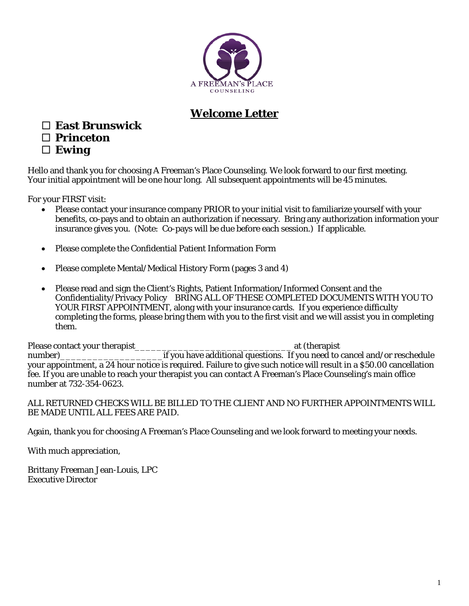

# **Welcome Letter**

# **East Brunswick**

# **Princeton**

**Ewing**

Hello and thank you for choosing A Freeman's Place Counseling. We look forward to our first meeting. Your initial appointment will be one hour long. All subsequent appointments will be 45 minutes.

For your FIRST visit:

- Please contact your insurance company PRIOR to your initial visit to familiarize yourself with your benefits, co-pays and to obtain an authorization if necessary. Bring any authorization information your insurance gives you. (Note: Co-pays will be due before each session.) If applicable.
- Please complete the Confidential Patient Information Form
- Please complete Mental/Medical History Form (pages 3 and 4)
- Please read and sign the Client's Rights, Patient Information/Informed Consent and the Confidentiality/Privacy Policy BRING ALL OF THESE COMPLETED DOCUMENTS WITH YOU TO YOUR FIRST APPOINTMENT, along with your insurance cards. If you experience difficulty completing the forms, please bring them with you to the first visit and we will assist you in completing them.

Please contact your therapist\_\_\_\_\_\_\_\_\_\_\_\_\_\_\_\_\_\_\_\_\_\_\_\_\_\_\_\_\_ at (therapist number)\_\_\_\_\_\_\_\_\_\_\_\_\_\_\_\_\_\_\_if you have additional questions. If you need to cancel and/or reschedule your appointment, a 24 hour notice is required. Failure to give such notice will result in a \$50.00 cancellation fee. If you are unable to reach your therapist you can contact A Freeman's Place Counseling's main office number at 732-354-0623.

# ALL RETURNED CHECKS WILL BE BILLED TO THE CLIENT AND NO FURTHER APPOINTMENTS WILL BE MADE UNTIL ALL FEES ARE PAID.

Again, thank you for choosing A Freeman's Place Counseling and we look forward to meeting your needs.

With much appreciation,

Brittany Freeman Jean-Louis, LPC Executive Director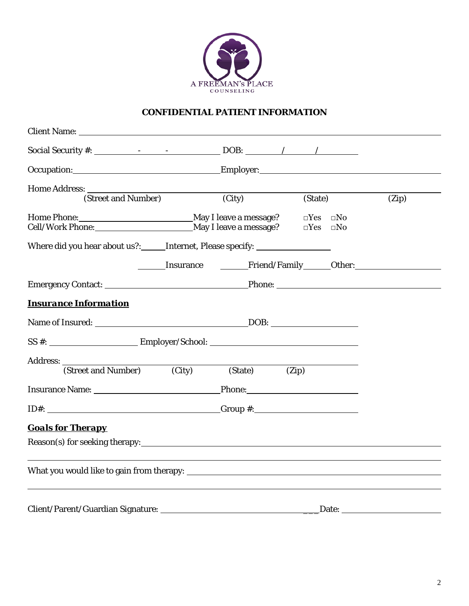

# **CONFIDENTIAL PATIENT INFORMATION**

| Social Security #: $\qquad \qquad - \qquad - \qquad \qquad$ DOB: $\qquad \qquad / \qquad \qquad / \qquad \qquad$ |         |         |                                                    |                                       |
|------------------------------------------------------------------------------------------------------------------|---------|---------|----------------------------------------------------|---------------------------------------|
| Occupation: Employer: Employer:                                                                                  |         |         |                                                    |                                       |
|                                                                                                                  |         |         |                                                    |                                       |
| Home Address: <u>(Street and Number)</u> (City)                                                                  |         | (State) |                                                    | (Zip)                                 |
| Cell/Work Phone: May I leave a message?                                                                          |         |         | $\square Yes \simeq No$<br>$\square Yes \simeq No$ |                                       |
| Where did you hear about us?: ______ Internet, Please specify: _________________                                 |         |         |                                                    |                                       |
|                                                                                                                  |         |         |                                                    | <b>Example 1 Friend/Family</b> Dther: |
|                                                                                                                  |         |         |                                                    |                                       |
| <b>Insurance Information</b>                                                                                     |         |         |                                                    |                                       |
|                                                                                                                  |         |         |                                                    |                                       |
| $SS \#:$ Employer/School:                                                                                        |         |         |                                                    |                                       |
|                                                                                                                  |         |         |                                                    |                                       |
| (Street and Number) (City)                                                                                       | (State) | (Zip)   |                                                    |                                       |
| Insurance Name: <u>Phone:</u> Phone:                                                                             |         |         |                                                    |                                       |
|                                                                                                                  |         |         |                                                    |                                       |
| <b>Goals for Therapy</b>                                                                                         |         |         |                                                    |                                       |
|                                                                                                                  |         |         |                                                    |                                       |
|                                                                                                                  |         |         |                                                    |                                       |
|                                                                                                                  |         |         |                                                    |                                       |
|                                                                                                                  |         |         |                                                    |                                       |
|                                                                                                                  |         |         |                                                    |                                       |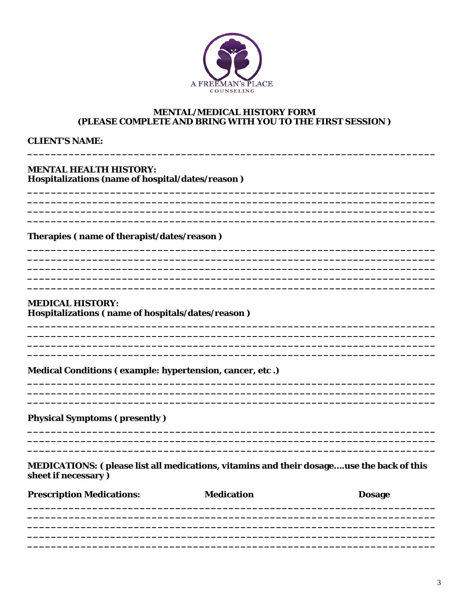

#### **MENTAL/MEDICAL HISTORY FORM** (PLEASE COMPLETE AND BRING WITH YOU TO THE FIRST SESSION)

#### **CLIENT'S NAME:**

# **MENTAL HEALTH HISTORY:**

Hospitalizations (name of hospital/dates/reason)

#### Therapies (name of therapist/dates/reason)

# **MEDICAL HISTORY:** Hospitalizations (name of hospitals/dates/reason)

#### Medical Conditions (example: hypertension, cancer, etc.)

**Physical Symptoms (presently)** 

#### MEDICATIONS: (please list all medications, vitamins and their dosage....use the back of this sheet if necessary)

| <b>Medication</b> | <b>Dosage</b> |  |  |
|-------------------|---------------|--|--|
|                   |               |  |  |
|                   |               |  |  |
|                   |               |  |  |
|                   |               |  |  |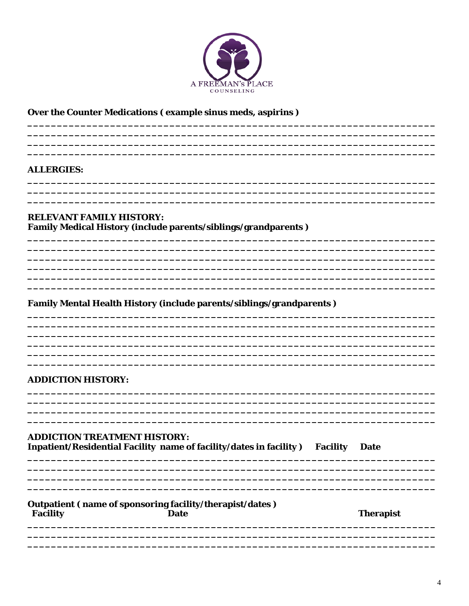

# Over the Counter Medications (example sinus meds, aspirins)

#### **ALLERGIES:**

# **RELEVANT FAMILY HISTORY:** Family Medical History (include parents/siblings/grandparents)

# Family Mental Health History (include parents/siblings/grandparents)

#### **ADDICTION HISTORY:**

#### **ADDICTION TREATMENT HISTORY:** Inpatient/Residential Facility name of facility/dates in facility) Facility Date

#### Outpatient (name of sponsoring facility/therapist/dates) **Facility Date**

**Therapist**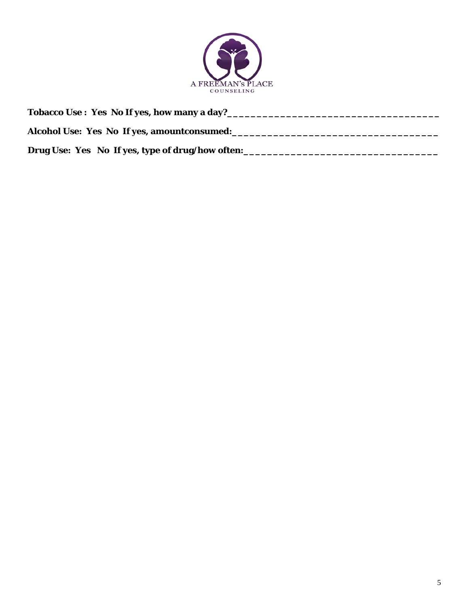

| Tobacco Use : Yes No If yes, how many a day?     |  |
|--------------------------------------------------|--|
| Alcohol Use: Yes No If yes, amountconsumed:      |  |
| Drug Use: Yes No If yes, type of drug/how often: |  |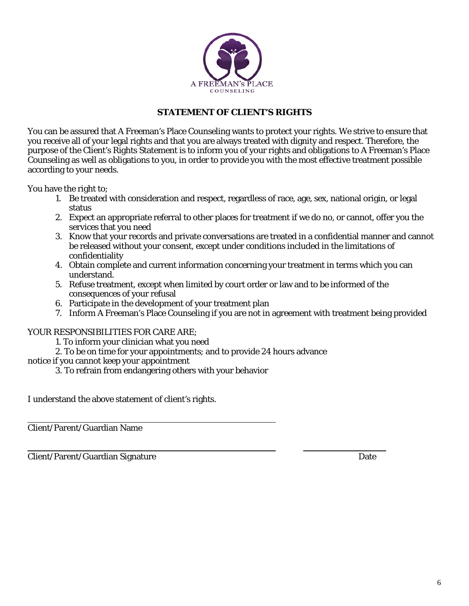

# **STATEMENT OF CLIENT'S RIGHTS**

You can be assured that A Freeman's Place Counseling wants to protect your rights. We strive to ensure that you receive all of your legal rights and that you are always treated with dignity and respect. Therefore, the purpose of the Client's Rights Statement is to inform you of your rights and obligations to A Freeman's Place Counseling as well as obligations to you, in order to provide you with the most effective treatment possible according to your needs.

You have the right to;

- 1. Be treated with consideration and respect, regardless of race, age, sex, national origin, or legal status
- 2. Expect an appropriate referral to other places for treatment if we do no, or cannot, offer you the services that you need
- 3. Know that your records and private conversations are treated in a confidential manner and cannot be released without your consent, except under conditions included in the limitations of confidentiality
- 4. Obtain complete and current information concerning your treatment in terms which you can understand.
- 5. Refuse treatment, except when limited by court order or law and to be informed of the consequences of your refusal
- 6. Participate in the development of your treatment plan
- 7. Inform A Freeman's Place Counseling if you are not in agreement with treatment being provided

#### YOUR RESPONSIBILITIES FOR CARE ARE;

- 1. To inform your clinician what you need
- 2. To be on time for your appointments; and to provide 24 hours advance
- notice if you cannot keep your appointment
	- 3. To refrain from endangering others with your behavior

I understand the above statement of client's rights.

Client/Parent/Guardian Name

Client/Parent/Guardian Signature Date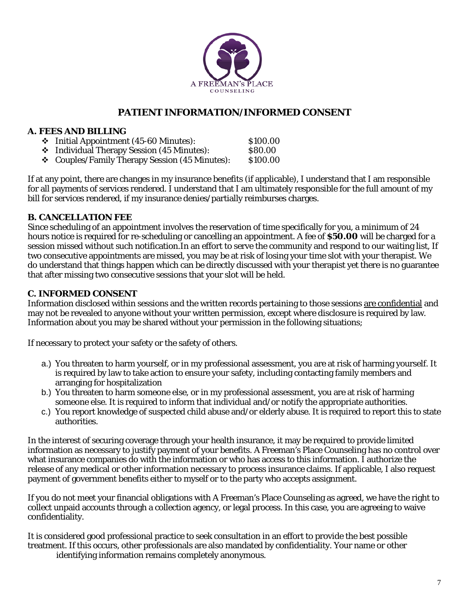

# **PATIENT INFORMATION/INFORMED CONSENT**

# **A. FEES AND BILLING**

 Initial Appointment (45-60 Minutes): \$100.00 Individual Therapy Session (45 Minutes): \$80.00 Couples/Family Therapy Session (45 Minutes): \$100.00

If at any point, there are changes in my insurance benefits (if applicable), I understand that I am responsible for all payments of services rendered. I understand that I am ultimately responsible for the full amount of my bill for services rendered, if my insurance denies/partially reimburses charges.

# **B. CANCELLATION FEE**

Since scheduling of an appointment involves the reservation of time specifically for you, a minimum of 24 hours notice is required for re-scheduling or cancelling an appointment. A fee of **\$50.00** will be charged for a session missed without such notification.In an effort to serve the community and respond to our waiting list, If two consecutive appointments are missed, you may be at risk of losing your time slot with your therapist. We do understand that things happen which can be directly discussed with your therapist yet there is no guarantee that after missing two consecutive sessions that your slot will be held.

# **C. INFORMED CONSENT**

Information disclosed within sessions and the written records pertaining to those sessions are confidential and may not be revealed to anyone without your written permission, except where disclosure is required by law. Information about you may be shared without your permission in the following situations;

If necessary to protect your safety or the safety of others.

- a.) You threaten to harm yourself, or in my professional assessment, you are at risk of harming yourself. It is required by law to take action to ensure your safety, including contacting family members and arranging for hospitalization
- b.) You threaten to harm someone else, or in my professional assessment, you are at risk of harming someone else. It is required to inform that individual and/or notify the appropriate authorities.
- c.) You report knowledge of suspected child abuse and/or elderly abuse. It is required to report this to state authorities.

In the interest of securing coverage through your health insurance, it may be required to provide limited information as necessary to justify payment of your benefits. A Freeman's Place Counseling has no control over what insurance companies do with the information or who has access to this information. I authorize the release of any medical or other information necessary to process insurance claims. If applicable, I also request payment of government benefits either to myself or to the party who accepts assignment.

If you do not meet your financial obligations with A Freeman's Place Counseling as agreed, we have the right to collect unpaid accounts through a collection agency, or legal process. In this case, you are agreeing to waive confidentiality.

It is considered good professional practice to seek consultation in an effort to provide the best possible treatment. If this occurs, other professionals are also mandated by confidentiality. Your name or other identifying information remains completely anonymous.

7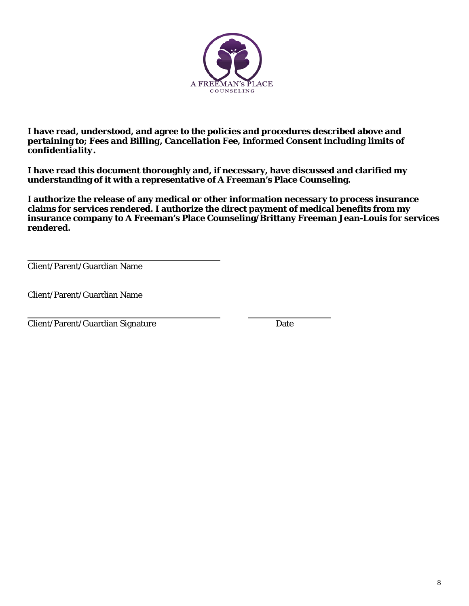

**I have read, understood, and agree to the policies and procedures described above and pertaining to;** *Fees and Billing, Cancellation Fee, Informed Consent including limits of confidentiality.* 

**I have read this document thoroughly and, if necessary, have discussed and clarified my understanding of it with a representative of A Freeman's Place Counseling.** 

**I authorize the release of any medical or other information necessary to process insurance claims for services rendered. I authorize the direct payment of medical benefits from my insurance company to A Freeman's Place Counseling/Brittany Freeman Jean-Louis for services rendered.** 

Client/Parent/Guardian Name

Client/Parent/Guardian Name

Client/Parent/Guardian Signature Date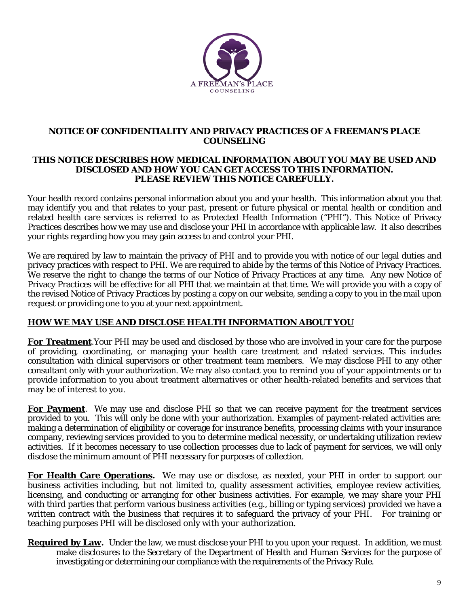

#### **NOTICE OF CONFIDENTIALITY AND PRIVACY PRACTICES OF A FREEMAN'S PLACE COUNSELING**

#### **THIS NOTICE DESCRIBES HOW MEDICAL INFORMATION ABOUT YOU MAY BE USED AND DISCLOSED AND HOW YOU CAN GET ACCESS TO THIS INFORMATION. PLEASE REVIEW THIS NOTICE CAREFULLY.**

Your health record contains personal information about you and your health. This information about you that may identify you and that relates to your past, present or future physical or mental health or condition and related health care services is referred to as Protected Health Information ("PHI"). This Notice of Privacy Practices describes how we may use and disclose your PHI in accordance with applicable law. It also describes your rights regarding how you may gain access to and control your PHI.

We are required by law to maintain the privacy of PHI and to provide you with notice of our legal duties and privacy practices with respect to PHI. We are required to abide by the terms of this Notice of Privacy Practices. We reserve the right to change the terms of our Notice of Privacy Practices at any time. Any new Notice of Privacy Practices will be effective for all PHI that we maintain at that time. We will provide you with a copy of the revised Notice of Privacy Practices by posting a copy on our website, sending a copy to you in the mail upon request or providing one to you at your next appointment.

# **HOW WE MAY USE AND DISCLOSE HEALTH INFORMATION ABOUT YOU**

**For Treatment**.Your PHI may be used and disclosed by those who are involved in your care for the purpose of providing, coordinating, or managing your health care treatment and related services. This includes consultation with clinical supervisors or other treatment team members. We may disclose PHI to any other consultant only with your authorization. We may also contact you to remind you of your appointments or to provide information to you about treatment alternatives or other health-related benefits and services that may be of interest to you.

**For Payment**. We may use and disclose PHI so that we can receive payment for the treatment services provided to you. This will only be done with your authorization. Examples of payment-related activities are: making a determination of eligibility or coverage for insurance benefits, processing claims with your insurance company, reviewing services provided to you to determine medical necessity, or undertaking utilization review activities. If it becomes necessary to use collection processes due to lack of payment for services, we will only disclose the minimum amount of PHI necessary for purposes of collection.

**For Health Care Operations.** We may use or disclose, as needed, your PHI in order to support our business activities including, but not limited to, quality assessment activities, employee review activities, licensing, and conducting or arranging for other business activities. For example, we may share your PHI with third parties that perform various business activities (e.g., billing or typing services) provided we have a written contract with the business that requires it to safeguard the privacy of your PHI. For training or teaching purposes PHI will be disclosed only with your authorization.

**Required by Law.** Under the law, we must disclose your PHI to you upon your request. In addition, we must make disclosures to the Secretary of the Department of Health and Human Services for the purpose of investigating or determining our compliance with the requirements of the Privacy Rule.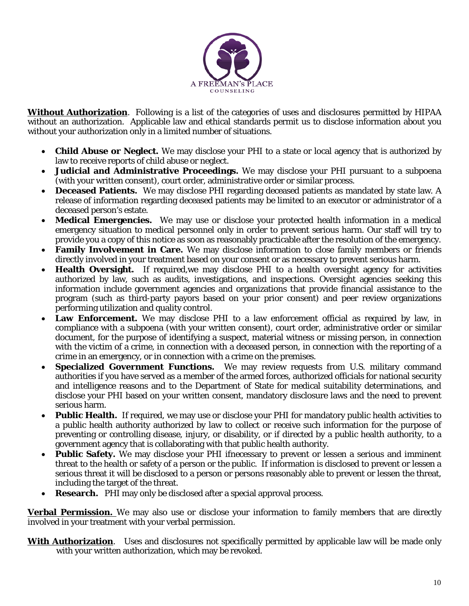

**Without Authorization**. Following is a list of the categories of uses and disclosures permitted by HIPAA without an authorization. Applicable law and ethical standards permit us to disclose information about you without your authorization only in a limited number of situations.

- **Child Abuse or Neglect.** We may disclose your PHI to a state or local agency that is authorized by law to receive reports of child abuse or neglect.
- **Judicial and Administrative Proceedings.** We may disclose your PHI pursuant to a subpoena (with your written consent), court order, administrative order or similar process.
- **Deceased Patients.** We may disclose PHI regarding deceased patients as mandated by state law. A release of information regarding deceased patients may be limited to an executor or administrator of a deceased person's estate.
- **Medical Emergencies.** We may use or disclose your protected health information in a medical emergency situation to medical personnel only in order to prevent serious harm. Our staff will try to provide you a copy of this notice as soon as reasonably practicable after the resolution of the emergency.
- **Family Involvement in Care.** We may disclose information to close family members or friends directly involved in your treatment based on your consent or as necessary to prevent serious harm.
- **Health Oversight.** If required,we may disclose PHI to a health oversight agency for activities authorized by law, such as audits, investigations, and inspections. Oversight agencies seeking this information include government agencies and organizations that provide financial assistance to the program (such as third-party payors based on your prior consent) and peer review organizations performing utilization and quality control.
- **Law Enforcement.** We may disclose PHI to a law enforcement official as required by law, in compliance with a subpoena (with your written consent), court order, administrative order or similar document, for the purpose of identifying a suspect, material witness or missing person, in connection with the victim of a crime, in connection with a deceased person, in connection with the reporting of a crime in an emergency, or in connection with a crime on the premises.
- **Specialized Government Functions.** We may review requests from U.S. military command authorities if you have served as a member of the armed forces, authorized officials for national security and intelligence reasons and to the Department of State for medical suitability determinations, and disclose your PHI based on your written consent, mandatory disclosure laws and the need to prevent serious harm.
- **Public Health.** If required, we may use or disclose your PHI for mandatory public health activities to a public health authority authorized by law to collect or receive such information for the purpose of preventing or controlling disease, injury, or disability, or if directed by a public health authority, to a government agency that is collaborating with that public health authority.
- **Public Safety.** We may disclose your PHI ifnecessary to prevent or lessen a serious and imminent threat to the health or safety of a person or the public. If information is disclosed to prevent or lessen a serious threat it will be disclosed to a person or persons reasonably able to prevent or lessen the threat, including the target of the threat.
- **Research.** PHI may only be disclosed after a special approval process.

**Verbal Permission.** We may also use or disclose your information to family members that are directly involved in your treatment with your verbal permission.

**With Authorization**. Uses and disclosures not specifically permitted by applicable law will be made only with your written authorization, which may be revoked.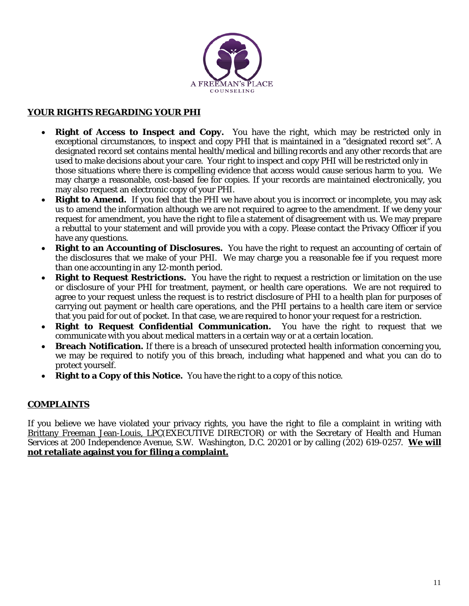

# **YOUR RIGHTS REGARDING YOUR PHI**

- **Right of Access to Inspect and Copy.** You have the right, which may be restricted only in exceptional circumstances, to inspect and copy PHI that is maintained in a "designated record set". A designated record set contains mental health/medical and billing records and any other records that are used to make decisions about your care. Your right to inspect and copy PHI will be restricted only in those situations where there is compelling evidence that access would cause serious harm to you. We may charge a reasonable, cost-based fee for copies. If your records are maintained electronically, you may also request an electronic copy of your PHI.
- **Right to Amend.** If you feel that the PHI we have about you is incorrect or incomplete, you may ask us to amend the information although we are not required to agree to the amendment. If we deny your request for amendment, you have the right to file a statement of disagreement with us. We may prepare a rebuttal to your statement and will provide you with a copy. Please contact the Privacy Officer if you have any questions.
- **Right to an Accounting of Disclosures.** You have the right to request an accounting of certain of the disclosures that we make of your PHI. We may charge you a reasonable fee if you request more than one accounting in any 12-month period.
- **Right to Request Restrictions.** You have the right to request a restriction or limitation on the use or disclosure of your PHI for treatment, payment, or health care operations. We are not required to agree to your request unless the request is to restrict disclosure of PHI to a health plan for purposes of carrying out payment or health care operations, and the PHI pertains to a health care item or service that you paid for out of pocket. In that case, we are required to honor your request for a restriction.
- **Right to Request Confidential Communication.** You have the right to request that we communicate with you about medical matters in a certain way or at a certain location.
- **Breach Notification.** If there is a breach of unsecured protected health information concerning you, we may be required to notify you of this breach, including what happened and what you can do to protect yourself.
- **Right to a Copy of this Notice.** You have the right to a copy of this notice.

# **COMPLAINTS**

If you believe we have violated your privacy rights, you have the right to file a complaint in writing with Brittany Freeman Jean-Louis, LPC(EXECUTIVE DIRECTOR) or with the Secretary of Health and Human Services at 200 Independence Avenue, S.W. Washington, D.C. 20201 or by calling (202) 619-0257. **We will not retaliate against you for filing a complaint.**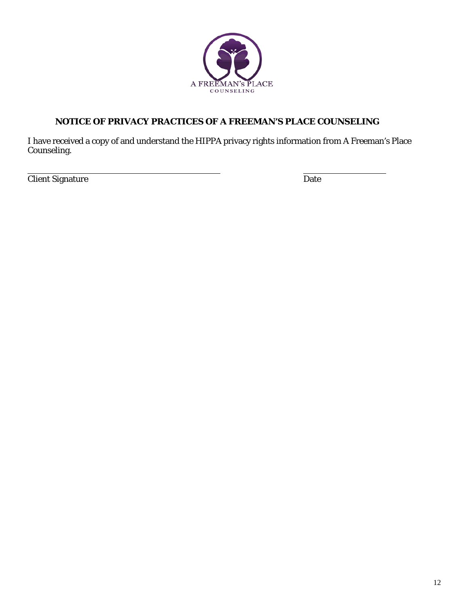

# **NOTICE OF PRIVACY PRACTICES OF A FREEMAN'S PLACE COUNSELING**

I have received a copy of and understand the HIPPA privacy rights information from A Freeman's Place Counseling.

**Client Signature** Date